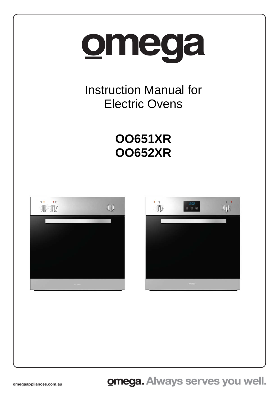# omega

Instruction Manual for Electric Ovens

# **OO651XR OO652XR**

-



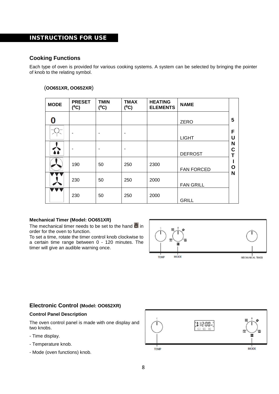# INSTRUCTIONS FOR USE

## **Cooking Functions**

Each type of oven is provided for various cooking systems. A system can be selected by bringing the pointer of knob to the relating symbol.

#### (**OO651XR, OO652XR**)

| <b>MODE</b> | <b>PRESET</b><br>$(^{0}C)$ | <b>TMIN</b><br>$(^0C)$ | <b>TMAX</b><br>$(^0C)$ | <b>HEATING</b><br><b>ELEMENTS</b> | <b>NAME</b>       |                       |
|-------------|----------------------------|------------------------|------------------------|-----------------------------------|-------------------|-----------------------|
| 0           |                            |                        |                        |                                   | ZERO              | 5                     |
|             |                            |                        |                        |                                   | <b>LIGHT</b>      | F<br>U                |
| 3           |                            |                        |                        |                                   | <b>DEFROST</b>    | N<br>$\mathbf c$<br>T |
|             | 190                        | 50                     | 250                    | 2300                              | <b>FAN FORCED</b> | O                     |
|             | 230                        | 50                     | 250                    | 2000                              | <b>FAN GRILL</b>  | N                     |
|             | 230                        | 50                     | 250                    | 2000                              | <b>GRILL</b>      |                       |

#### **Mechanical Timer (Model: OO651XR)**

The mechanical timer needs to be set to the hand  $\blacksquare$  in order for the oven to function.

To set a time, rotate the timer control knob clockwise to a certain time range between 0 - 120 minutes. The timer will give an audible warning once.



# **Electronic Control (Model: OO652XR)**

#### **Control Panel Description**

The oven control panel is made with one display and two knobs.

- Time display.
- Temperature knob.
- Mode (oven functions) knob.

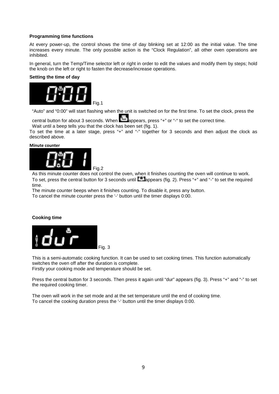#### **Programming time functions**

At every power-up, the control shows the time of day blinking set at 12:00 as the initial value. The time increases every minute. The only possible action is the "Clock Regulation", all other oven operations are inhibited.

In general, turn the Temp/Time selector left or right in order to edit the values and modify them by steps; hold the knob on the left or right to fasten the decrease/increase operations.

#### **Setting the time of day**



"Auto" and "0:00" will start flashing when the unit is switched on for the first time. To set the clock, press the

central button for about 3 seconds. When **a**ppears, press "+" or "-" to set the correct time.

Wait until a beep tells you that the clock has been set (fig. 1).

To set the time at a later stage, press "+" and "-" together for 3 seconds and then adjust the clock as described above.

#### **Minute counter**



As this minute counter does not control the oven, when it finishes counting the oven will continue to work. To set, press the central button for 3 seconds until **A** appears (fig. 2). Press "+" and "-" to set the required time.

The minute counter beeps when it finishes counting. To disable it, press any button.

To cancel the minute counter press the '-' button until the timer displays 0:00.

#### **Cooking time**



This is a semi-automatic cooking function. It can be used to set cooking times. This function automatically switches the oven off after the duration is complete.

Firstly your cooking mode and temperature should be set.

Press the central button for 3 seconds. Then press it again until "dur" appears (fig. 3). Press "+" and "-" to set the required cooking timer.

The oven will work in the set mode and at the set temperature until the end of cooking time. To cancel the cooking duration press the '-' button until the timer displays 0:00.